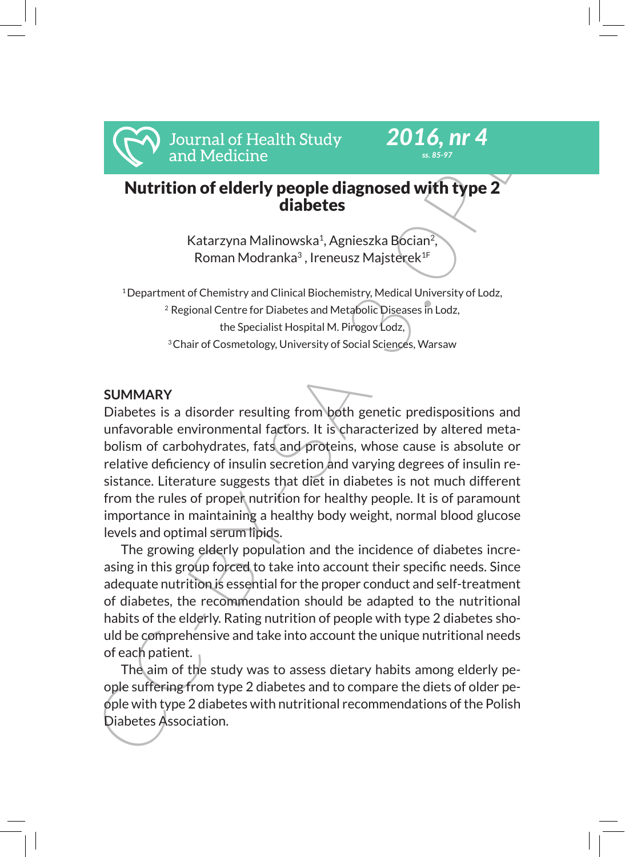

# Nutrition of elderly people diagnosed with type 2 diabetes

*2016, nr 4 ss. 85-97*

Katarzyna Malinowska<sup>1</sup>, Agnieszka Bocian<sup>2</sup> Roman Modranka3 , Ireneusz Majsterek1F

<sup>1</sup> Department of Chemistry and Clinical Biochemistry, Medical University of Lodz, <sup>2</sup> Regional Centre for Diabetes and Metabolic Diseases in Lodz, the Specialist Hospital M. Pirogov Lodz, <sup>3</sup> Chair of Cosmetology, University of Social Sciences, Warsaw

### **SUMMARY**

Solution of Health Study 2016, nr 4<br>
and Medicine<br>
and Medicine<br>
Nutrition of elderly people diagnosed with type 2<br>
diabetes<br>
Katarzyna Malinowska', Agnieszka Bóciar<sup>3</sup><br>
Forman Modranka<sup>3</sup>, Ireneusz Majstetek<sup>12</sup><br>
<sup>4</sup><br>
<sup>4</sup> Diabetes is a disorder resulting from both genetic predispositions and unfavorable environmental factors. It is characterized by altered metabolism of carbohydrates, fats and proteins, whose cause is absolute or relative deficiency of insulin secretion and varying degrees of insulin resistance. Literature suggests that diet in diabetes is not much different from the rules of proper nutrition for healthy people. It is of paramount importance in maintaining a healthy body weight, normal blood glucose levels and optimal serum lipids.

The growing elderly population and the incidence of diabetes increasing in this group forced to take into account their specific needs. Since adequate nutrition is essential for the proper conduct and self-treatment of diabetes, the recommendation should be adapted to the nutritional habits of the elderly. Rating nutrition of people with type 2 diabetes should be comprehensive and take into account the unique nutritional needs of each patient.

The aim of the study was to assess dietary habits among elderly people suffering from type 2 diabetes and to compare the diets of older people with type 2 diabetes with nutritional recommendations of the Polish Diabetes Association.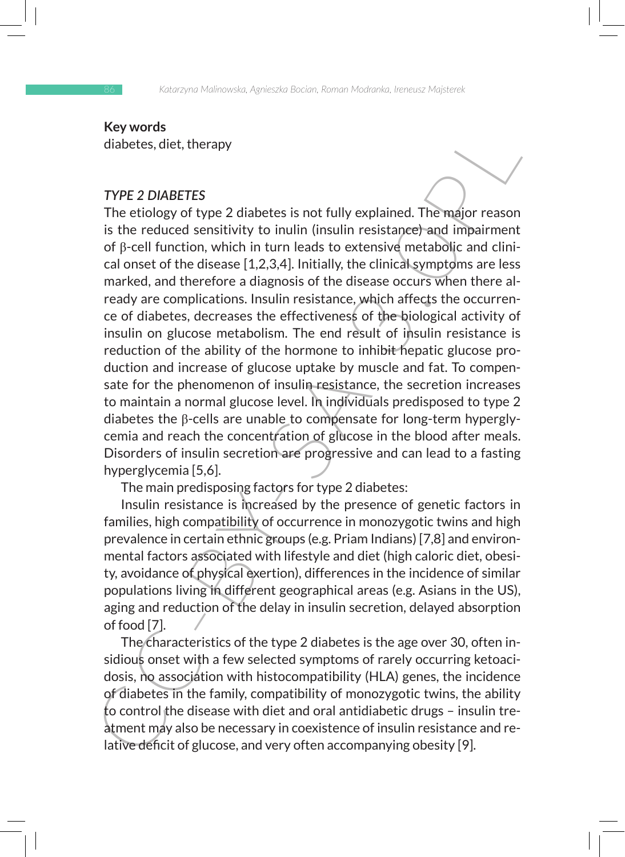**Key words** diabetes, diet, therapy

## *TYPE 2 DIABETES*

New words<br>
TYPE 2 DIABETES<br>
TYPE 2 DIABETES<br>
THE etiology of type 2 diabetes is not fully explained. The major reason<br>
is the reduced sensitivity to inulin (insulin resistance) and impairment<br>
of  $\beta$ -cell function, which The etiology of type 2 diabetes is not fully explained. The major reason is the reduced sensitivity to inulin (insulin resistance) and impairment of β-cell function, which in turn leads to extensive metabolic and clinical onset of the disease [1,2,3,4]. Initially, the clinical symptoms are less marked, and therefore a diagnosis of the disease occurs when there already are complications. Insulin resistance, which affects the occurrence of diabetes, decreases the effectiveness of the biological activity of insulin on glucose metabolism. The end result of insulin resistance is reduction of the ability of the hormone to inhibit hepatic glucose production and increase of glucose uptake by muscle and fat. To compensate for the phenomenon of insulin resistance, the secretion increases to maintain a normal glucose level. In individuals predisposed to type 2 diabetes the β-cells are unable to compensate for long-term hyperglycemia and reach the concentration of glucose in the blood after meals. Disorders of insulin secretion are progressive and can lead to a fasting hyperglycemia [5,6].

The main predisposing factors for type 2 diabetes:

Insulin resistance is increased by the presence of genetic factors in families, high compatibility of occurrence in monozygotic twins and high prevalence in certain ethnic groups (e.g. Priam Indians) [7,8] and environmental factors associated with lifestyle and diet (high caloric diet, obesity, avoidance of physical exertion), differences in the incidence of similar populations living in different geographical areas (e.g. Asians in the US), aging and reduction of the delay in insulin secretion, delayed absorption of food [7].

The characteristics of the type 2 diabetes is the age over 30, often insidious onset with a few selected symptoms of rarely occurring ketoacidosis, no association with histocompatibility (HLA) genes, the incidence of diabetes in the family, compatibility of monozygotic twins, the ability to control the disease with diet and oral antidiabetic drugs – insulin treatment may also be necessary in coexistence of insulin resistance and relative deficit of glucose, and very often accompanying obesity [9].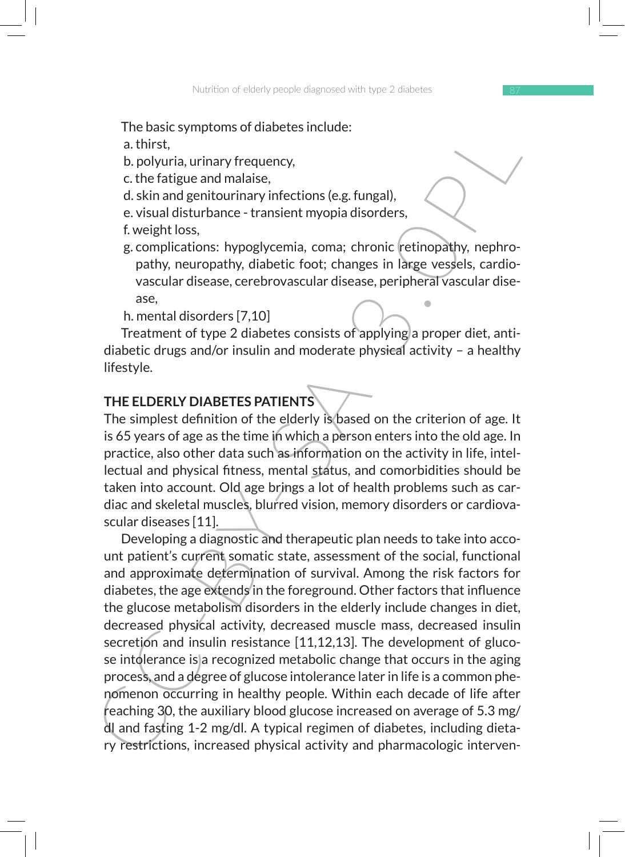The basic symptoms of diabetes include:

a. thirst,

- b. polyuria, urinary frequency,
- c. the fatigue and malaise,
- d. skin and genitourinary infections (e.g. fungal),
- e. visual disturbance transient myopia disorders,
- f. weight loss,
- g. complications: hypoglycemia, coma; chronic retinopathy, nephropathy, neuropathy, diabetic foot; changes in large vessels, cardiovascular disease, cerebrovascular disease, peripheral vascular disease,

h. mental disorders [7,10]

Treatment of type 2 diabetes consists of applying a proper diet, antidiabetic drugs and/or insulin and moderate physical activity – a healthy lifestyle.

# **THE ELDERLY DIABETES PATIENTS**

The simplest definition of the elderly is based on the criterion of age. It is 65 years of age as the time in which a person enters into the old age. In practice, also other data such as information on the activity in life, intellectual and physical fitness, mental status, and comorbidities should be taken into account. Old age brings a lot of health problems such as cardiac and skeletal muscles, blurred vision, memory disorders or cardiovascular diseases [11].

In enaste symptoms or dialetes include:<br>
a. thirst,<br>
b. polyuria, urinary frequency,<br>
c. the fatigue and malisaie,<br>
d. skin and genitourinary infections (e.g. fungal),<br>
e. visual disturbance - transient myopia disorders,<br> Developing a diagnostic and therapeutic plan needs to take into account patient's current somatic state, assessment of the social, functional and approximate determination of survival. Among the risk factors for diabetes, the age extends in the foreground. Other factors that influence the glucose metabolism disorders in the elderly include changes in diet, decreased physical activity, decreased muscle mass, decreased insulin secretion and insulin resistance [11,12,13]. The development of glucose intolerance is a recognized metabolic change that occurs in the aging process, and a degree of glucose intolerance later in life is a common phenomenon occurring in healthy people. Within each decade of life after reaching 30, the auxiliary blood glucose increased on average of 5.3 mg/ dl and fasting 1-2 mg/dl. A typical regimen of diabetes, including dietary restrictions, increased physical activity and pharmacologic interven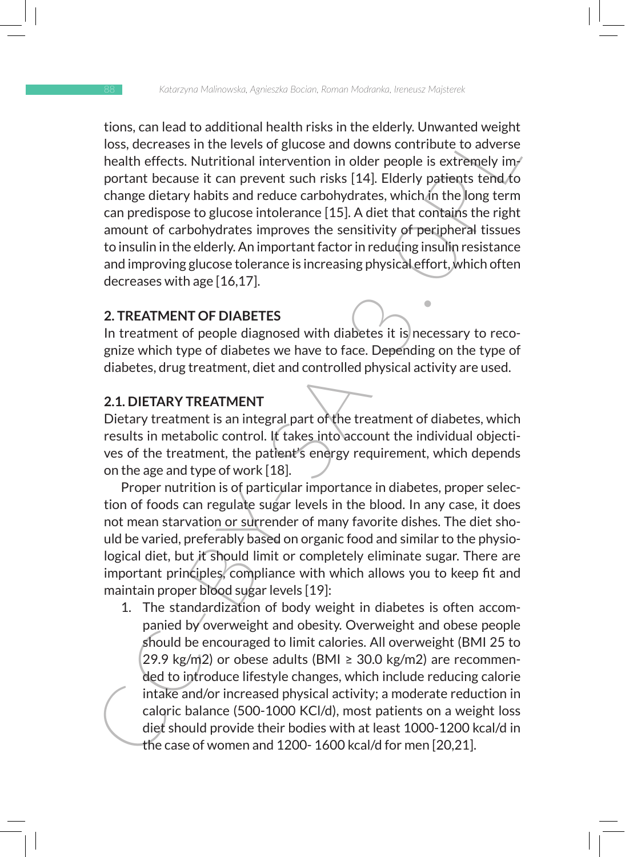tons, can lead o additional nearative rass in the ederery. Unwarded weight<br>loss, decreases in the levels of glucose and downs contribute to adverse<br>health effects. Nutritional intervention in older people is extremely imy<br> tions, can lead to additional health risks in the elderly. Unwanted weight loss, decreases in the levels of glucose and downs contribute to adverse health effects. Nutritional intervention in older people is extremely important because it can prevent such risks [14]. Elderly patients tend to change dietary habits and reduce carbohydrates, which in the long term can predispose to glucose intolerance [15]. A diet that contains the right amount of carbohydrates improves the sensitivity of peripheral tissues to insulin in the elderly. An important factor in reducing insulin resistance and improving glucose tolerance is increasing physical effort, which often decreases with age [16,17].

# **2. TREATMENT OF DIABETES**

In treatment of people diagnosed with diabetes it is necessary to recognize which type of diabetes we have to face. Depending on the type of diabetes, drug treatment, diet and controlled physical activity are used.

### **2.1. DIETARY TREATMENT**

Dietary treatment is an integral part of the treatment of diabetes, which results in metabolic control. It takes into account the individual objectives of the treatment, the patient's energy requirement, which depends on the age and type of work [18].

Proper nutrition is of particular importance in diabetes, proper selection of foods can regulate sugar levels in the blood. In any case, it does not mean starvation or surrender of many favorite dishes. The diet should be varied, preferably based on organic food and similar to the physiological diet, but it should limit or completely eliminate sugar. There are important principles, compliance with which allows you to keep fit and maintain proper blood sugar levels [19]:

1. The standardization of body weight in diabetes is often accompanied by overweight and obesity. Overweight and obese people should be encouraged to limit calories. All overweight (BMI 25 to 29.9 kg/m2) or obese adults (BMI  $\geq$  30.0 kg/m2) are recommended to introduce lifestyle changes, which include reducing calorie intake and/or increased physical activity; a moderate reduction in caloric balance (500-1000 KCl/d), most patients on a weight loss diet should provide their bodies with at least 1000-1200 kcal/d in the case of women and 1200- 1600 kcal/d for men [20,21].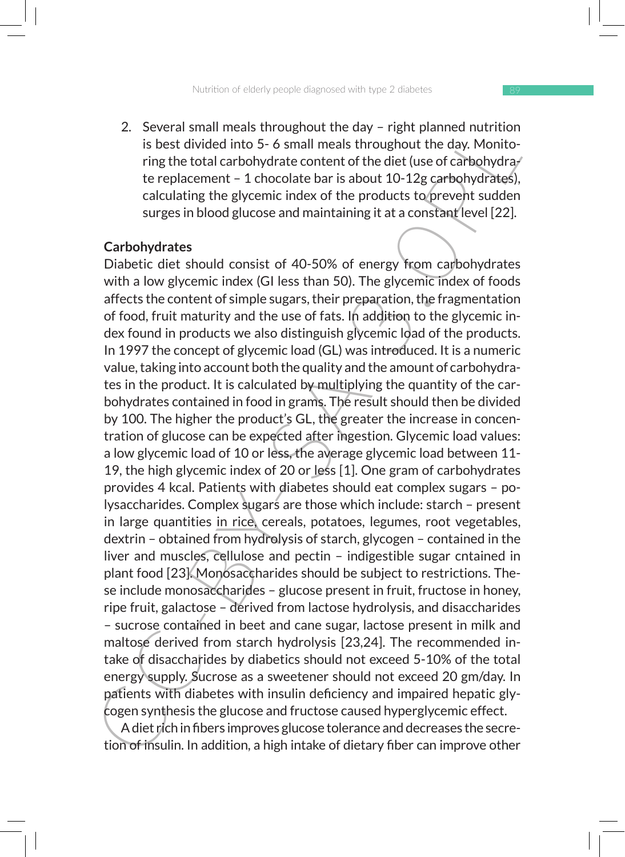2. Several small meals throughout the day – right planned nutrition is best divided into 5- 6 small meals throughout the day. Monitoring the total carbohydrate content of the diet (use of carbohydrate replacement – 1 chocolate bar is about 10-12g carbohydrates), calculating the glycemic index of the products to prevent sudden surges in blood glucose and maintaining it at a constant level [22].

#### **Carbohydrates**

2. Several small meast throughout the day - right pianned nurtriton<br>is best divided into 5- 6 small meals throughout the day. Monito-<br>ring the total carbohydrate content of the diet (use of carbohydra-<br>te replacement - 1 Diabetic diet should consist of 40-50% of energy from carbohydrates with a low glycemic index (GI less than 50). The glycemic index of foods affects the content of simple sugars, their preparation, the fragmentation of food, fruit maturity and the use of fats. In addition to the glycemic index found in products we also distinguish glycemic load of the products. In 1997 the concept of glycemic load (GL) was introduced. It is a numeric value, taking into account both the quality and the amount of carbohydrates in the product. It is calculated by multiplying the quantity of the carbohydrates contained in food in grams. The result should then be divided by 100. The higher the product's GL, the greater the increase in concentration of glucose can be expected after ingestion. Glycemic load values: a low glycemic load of 10 or less, the average glycemic load between 11- 19, the high glycemic index of 20 or less [1]. One gram of carbohydrates provides 4 kcal. Patients with diabetes should eat complex sugars – polysaccharides. Complex sugars are those which include: starch – present in large quantities in rice, cereals, potatoes, legumes, root vegetables, dextrin – obtained from hydrolysis of starch, glycogen – contained in the liver and muscles, cellulose and pectin – indigestible sugar cntained in plant food [23]. Monosaccharides should be subject to restrictions. These include monosaccharides – glucose present in fruit, fructose in honey, ripe fruit, galactose – derived from lactose hydrolysis, and disaccharides – sucrose contained in beet and cane sugar, lactose present in milk and maltose derived from starch hydrolysis [23,24]. The recommended intake of disaccharides by diabetics should not exceed 5-10% of the total energy supply. Sucrose as a sweetener should not exceed 20 gm/day. In patients with diabetes with insulin deficiency and impaired hepatic glycogen synthesis the glucose and fructose caused hyperglycemic effect.

A diet rich in fibers improves glucose tolerance and decreases the secretion of insulin. In addition, a high intake of dietary fiber can improve other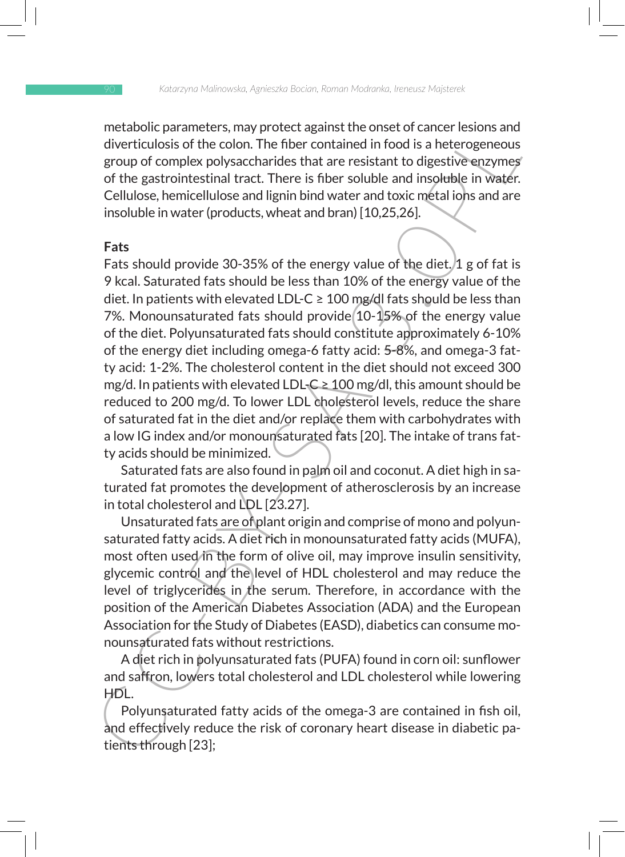metabolic parameters, may protect against the onset of cancer lesions and diverticulosis of the colon. The fiber contained in food is a heterogeneous group of complex polysaccharides that are resistant to digestive enzymes of the gastrointestinal tract. There is fiber soluble and insoluble in water. Cellulose, hemicellulose and lignin bind water and toxic metal ions and are insoluble in water (products, wheat and bran) [10,25,26].

# **Fats**

metaous parameters, may protoca against the onset of cancer lessions and<br>diverticulosis of the colon. The fiber contained in food is a heterogeneous<br>group of complex polysaccharides that are resistant to digestive enzymes Fats should provide 30-35% of the energy value of the diet. 1 g of fat is 9 kcal. Saturated fats should be less than 10% of the energy value of the diet. In patients with elevated LDL-C  $\geq$  100 mg/dl fats should be less than 7%. Monounsaturated fats should provide 10-15% of the energy value of the diet. Polyunsaturated fats should constitute approximately 6-10% of the energy diet including omega-6 fatty acid: 5-8%, and omega-3 fatty acid: 1-2%. The cholesterol content in the diet should not exceed 300 mg/d. In patients with elevated LDL-C  $\geq 100$  mg/dl, this amount should be reduced to 200 mg/d. To lower LDL cholesterol levels, reduce the share of saturated fat in the diet and/or replace them with carbohydrates with a low IG index and/or monounsaturated fats [20]. The intake of trans fatty acids should be minimized.

Saturated fats are also found in palm oil and coconut. A diet high in saturated fat promotes the development of atherosclerosis by an increase in total cholesterol and LDL [23.27].

Unsaturated fats are of plant origin and comprise of mono and polyunsaturated fatty acids. A diet rich in monounsaturated fatty acids (MUFA), most often used in the form of olive oil, may improve insulin sensitivity, glycemic control and the level of HDL cholesterol and may reduce the level of triglycerides in the serum. Therefore, in accordance with the position of the American Diabetes Association (ADA) and the European Association for the Study of Diabetes (EASD), diabetics can consume monounsaturated fats without restrictions.

A diet rich in polyunsaturated fats (PUFA) found in corn oil: sunflower and saffron, lowers total cholesterol and LDL cholesterol while lowering HDL.

Polyunsaturated fatty acids of the omega-3 are contained in fish oil, and effectively reduce the risk of coronary heart disease in diabetic patients through [23];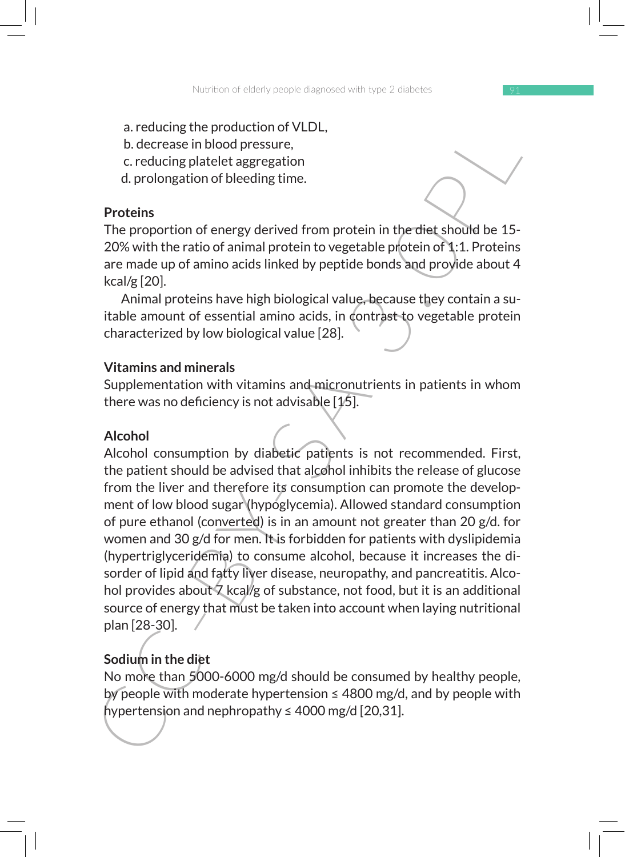- a. reducing the production of VLDL,
- b. decrease in blood pressure,
- c. reducing platelet aggregation
- d. prolongation of bleeding time.

# **Proteins**

The proportion of energy derived from protein in the diet should be 15- 20% with the ratio of animal protein to vegetable protein of 1:1. Proteins are made up of amino acids linked by peptide bonds and provide about 4 kcal/g [20].

Animal proteins have high biological value, because they contain a suitable amount of essential amino acids, in contrast to vegetable protein characterized by low biological value [28].

#### **Vitamins and minerals**

Supplementation with vitamins and micronutrients in patients in whom there was no deficiency is not advisable [15].

#### **Alcohol**

a. reauting the production of VLUL,<br>
b. decrease in blood pressure,<br>
c. reducing platelet aggregation<br>
d. prolongation of bleeding time.<br>
The proportion of energy derived from protein in the diet should be 15-20% with the Alcohol consumption by diabetic patients is not recommended. First, the patient should be advised that alcohol inhibits the release of glucose from the liver and therefore its consumption can promote the development of low blood sugar (hypoglycemia). Allowed standard consumption of pure ethanol (converted) is in an amount not greater than 20 g/d. for women and 30 g/d for men. It is forbidden for patients with dyslipidemia (hypertriglyceridemia) to consume alcohol, because it increases the disorder of lipid and fatty liver disease, neuropathy, and pancreatitis. Alcohol provides about 7 kcal/g of substance, not food, but it is an additional source of energy that must be taken into account when laying nutritional plan [28-30].

#### **Sodium in the diet**

No more than 5000-6000 mg/d should be consumed by healthy people, by people with moderate hypertension  $\leq 4800$  mg/d, and by people with hypertension and nephropathy  $\leq 4000$  mg/d [20,31].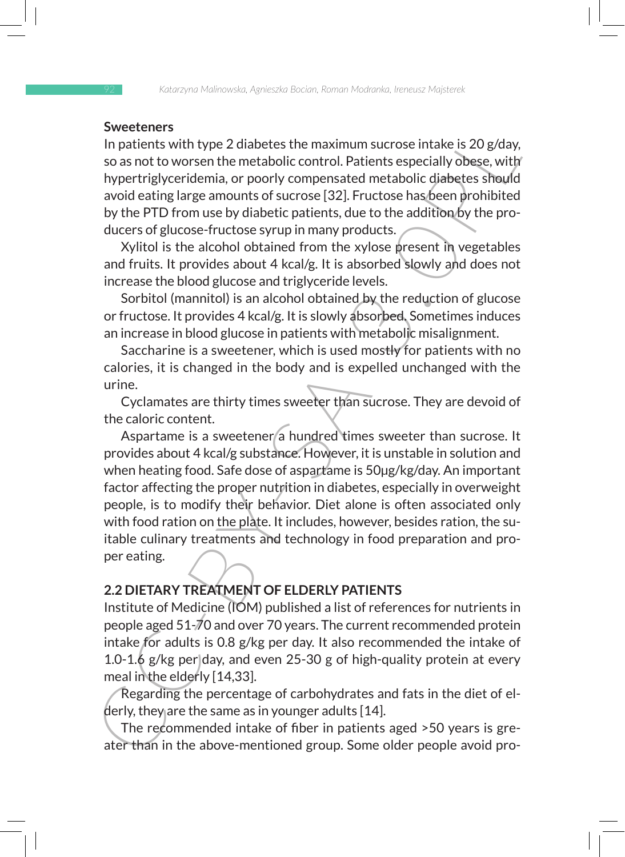#### **Sweeteners**

In patients with type 2 diabetes the maximum sucrose intake is 20 g/day, so as not to worsen the metabolic control. Patients especially obese, with hypertriglyceridemia, or poorly compensated metabolic diabetes should avoid eating large amounts of sucrose [32]. Fructose has been prohibited by the PTD from use by diabetic patients, due to the addition by the producers of glucose-fructose syrup in many products.

Xylitol is the alcohol obtained from the xylose present in vegetables and fruits. It provides about 4 kcal/g. It is absorbed slowly and does not increase the blood glucose and triglyceride levels.

Sorbitol (mannitol) is an alcohol obtained by the reduction of glucose or fructose. It provides 4 kcal/g. It is slowly absorbed. Sometimes induces an increase in blood glucose in patients with metabolic misalignment.

Saccharine is a sweetener, which is used mostly for patients with no calories, it is changed in the body and is expelled unchanged with the urine.

Cyclamates are thirty times sweeter than sucrose. They are devoid of the caloric content.

Somethers<br>
in patients with type 2 diabetes the maximum sucrose intake is 20 g/day,<br>
so as not to worsen the metabolic control. Patients especially obese, with<br>
hypertriglyceridemia, or poorly compensated metabolic diabete Aspartame is a sweetener/a hundred times sweeter than sucrose. It provides about 4 kcal/g substance. However, it is unstable in solution and when heating food. Safe dose of aspartame is 50μg/kg/day. An important factor affecting the proper nutrition in diabetes, especially in overweight people, is to modify their behavior. Diet alone is often associated only with food ration on the plate. It includes, however, besides ration, the suitable culinary treatments and technology in food preparation and proper eating.

# **2.2 DIETARY TREATMENT OF ELDERLY PATIENTS**

Institute of Medicine (IOM) published a list of references for nutrients in people aged 51-70 and over 70 years. The current recommended protein intake for adults is 0.8 g/kg per day. It also recommended the intake of 1.0-1.6  $g/kg$  per day, and even 25-30 g of high-quality protein at every meal in the elderly [14,33].

Regarding the percentage of carbohydrates and fats in the diet of elderly, they are the same as in younger adults [14].

The recommended intake of fiber in patients aged >50 years is greater than in the above-mentioned group. Some older people avoid pro-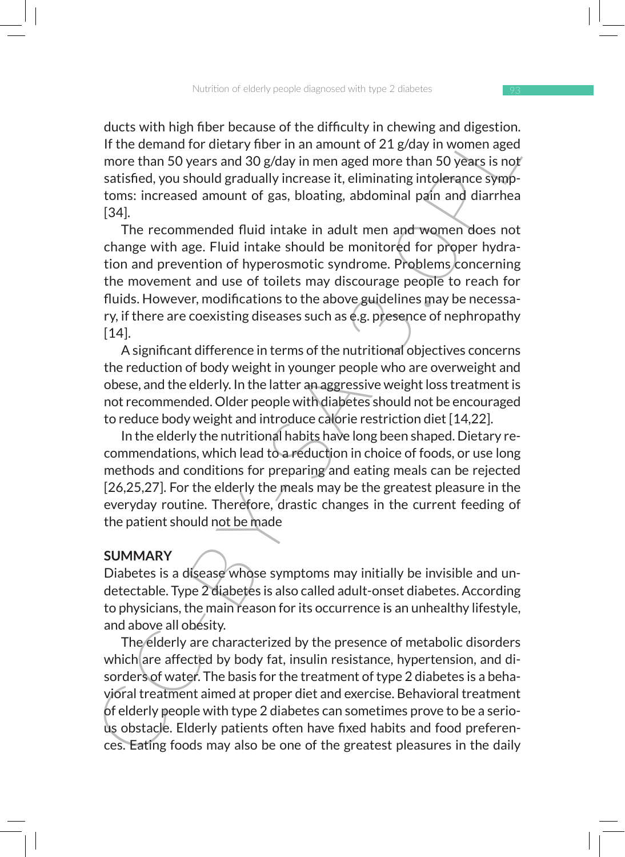ducts with high fiber because of the difficulty in chewing and digestion. If the demand for dietary fiber in an amount of 21 g/day in women aged more than 50 years and 30 g/day in men aged more than 50 years is not satisfied, you should gradually increase it, eliminating intolerance symptoms: increased amount of gas, bloating, abdominal pain and diarrhea [34].

ducts with nigh more because of the dimension and discussion of the demand for dietary fiber in an amount of 21 g/day in women aged<br>more than 50 years and 30 g/day in men aged more than 50 years is not<br>satisfied, you shou The recommended fluid intake in adult men and women does not change with age. Fluid intake should be monitored for proper hydration and prevention of hyperosmotic syndrome. Problems concerning the movement and use of toilets may discourage people to reach for fluids. However, modifications to the above guidelines may be necessary, if there are coexisting diseases such as e.g. presence of nephropathy  $[14]$ .

A significant difference in terms of the nutritional objectives concerns the reduction of body weight in younger people who are overweight and obese, and the elderly. In the latter an aggressive weight loss treatment is not recommended. Older people with diabetes should not be encouraged to reduce body weight and introduce calorie restriction diet [14,22].

In the elderly the nutritional habits have long been shaped. Dietary recommendations, which lead to a reduction in choice of foods, or use long methods and conditions for preparing and eating meals can be rejected [26,25,27]. For the elderly the meals may be the greatest pleasure in the everyday routine. Therefore, drastic changes in the current feeding of the patient should not be made

#### **SUMMARY**

Diabetes is a disease whose symptoms may initially be invisible and undetectable. Type 2 diabetes is also called adult-onset diabetes. According to physicians, the main reason for its occurrence is an unhealthy lifestyle, and above all obesity.

The elderly are characterized by the presence of metabolic disorders which are affected by body fat, insulin resistance, hypertension, and disorders of water. The basis for the treatment of type 2 diabetes is a behavioral treatment aimed at proper diet and exercise. Behavioral treatment of elderly people with type 2 diabetes can sometimes prove to be a serious obstacle. Elderly patients often have fixed habits and food preferences. Eating foods may also be one of the greatest pleasures in the daily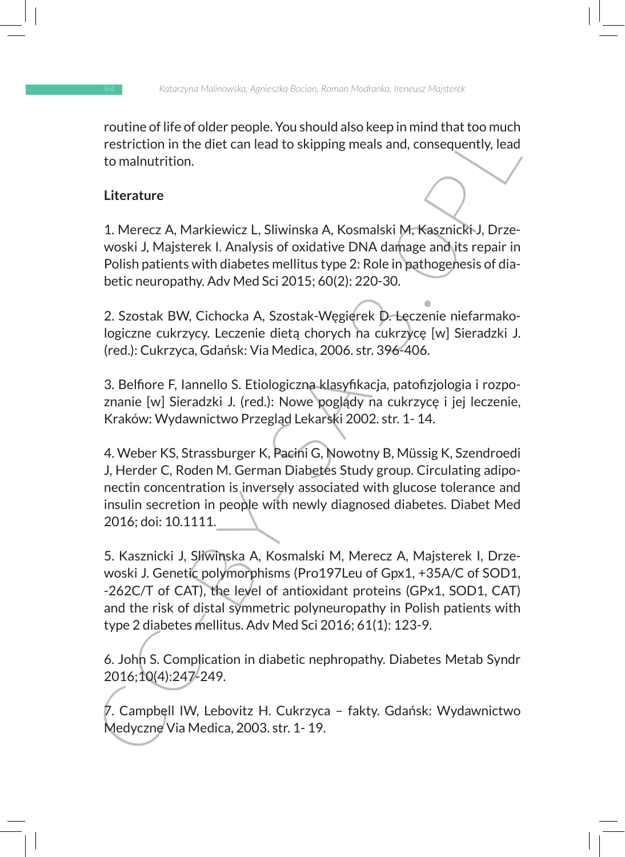routine of life of older people. You should also keep in mind that too much restriction in the diet can lead to skipping meals and, consequently, lead to malnutrition.

# **Literature**

1. Merecz A, Markiewicz L, Sliwinska A, Kosmalski M, Kasznicki J, Drzewoski J, Majsterek I. Analysis of oxidative DNA damage and its repair in Polish patients with diabetes mellitus type 2: Role in pathogenesis of diabetic neuropathy. Adv Med Sci 2015; 60(2): 220-30.

2. Szostak BW, Cichocka A, Szostak-Węgierek D. Leczenie niefarmakologiczne cukrzycy. Leczenie dietą chorych na cukrzycę [w] Sieradzki J. (red.): Cukrzyca, Gdańsk: Via Medica, 2006. str. 396-406.

3. Belfiore F, Iannello S. Etiologiczna klasyfikacja, patofizjologia i rozpoznanie [w] Sieradzki J. (red.): Nowe poglądy na cukrzycę i jej leczenie, Kraków: Wydawnictwo Przegląd Lekarski 2002. str. 1- 14.

routine of inter or or or prespies. To us not the mediation in the discussion in the diet can lead to skipping meals and, consequently, lead<br>to malnutrition.<br>
Literature<br>
1. Merecz A, Markiewicz L, Sliwinska A, Kosmalski M 4. Weber KS, Strassburger K, Pacini G, Nowotny B, Müssig K, Szendroedi J, Herder C, Roden M. German Diabetes Study group. Circulating adiponectin concentration is inversely associated with glucose tolerance and insulin secretion in people with newly diagnosed diabetes. Diabet Med 2016; doi: 10.1111.

5. Kasznicki J, Sliwinska A, Kosmalski M, Merecz A, Majsterek I, Drzewoski J. Genetic polymorphisms (Pro197Leu of Gpx1, +35A/C of SOD1, -262C/T of CAT), the level of antioxidant proteins (GPx1, SOD1, CAT) and the risk of distal symmetric polyneuropathy in Polish patients with type 2 diabetes mellitus. Adv Med Sci 2016; 61(1): 123-9.

6. John S. Complication in diabetic nephropathy. Diabetes Metab Syndr 2016;10(4):247-249.

7. Campbell IW, Lebovitz H. Cukrzyca – fakty. Gdańsk: Wydawnictwo Medyczne Via Medica, 2003. str. 1- 19.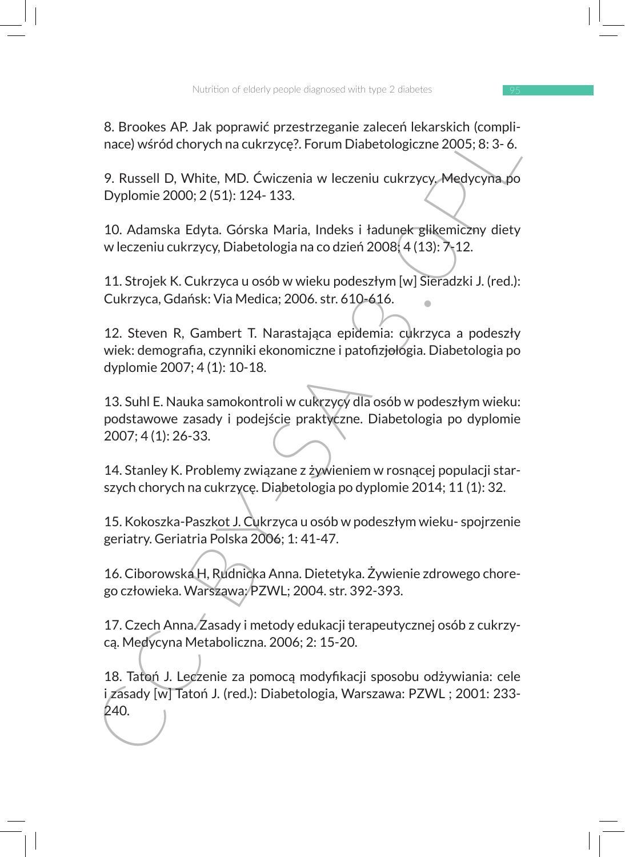8. Brookes AP. Jak poprawić przestrzeganie zaleceń lekarskich (complinace) wśród chorych na cukrzycę?. Forum Diabetologiczne 2005; 8: 3- 6.

9. Russell D, White, MD. Ćwiczenia w leczeniu cukrzycy. Medycyna po Dyplomie 2000; 2 (51): 124- 133.

10. Adamska Edyta. Górska Maria, Indeks i ładunek glikemiczny diety w leczeniu cukrzycy, Diabetologia na co dzień 2008; 4 (13): 7-12.

11. Strojek K. Cukrzyca u osób w wieku podeszłym [w] Sieradzki J. (red.): Cukrzyca, Gdańsk: Via Medica; 2006. str. 610-616.

12. Steven R, Gambert T. Narastająca epidemia: cukrzyca a podeszły wiek: demografia, czynniki ekonomiczne i patofizjologia. Diabetologia po dyplomie 2007; 4 (1): 10-18.

13. Suhl E. Nauka samokontroli w cukrzycy dla osób w podeszłym wieku: podstawowe zasady i podejście praktyczne. Diabetologia po dyplomie 2007; 4 (1): 26-33.

14. Stanley K. Problemy związane z żywieniem w rosnącej populacji starszych chorych na cukrzycę. Diabetologia po dyplomie 2014; 11 (1): 32.

15. Kokoszka-Paszkot J. Cukrzyca u osób w podeszłym wieku- spojrzenie geriatry. Geriatria Polska 2006; 1: 41-47.

16. Ciborowska H, Rudnicka Anna. Dietetyka. Żywienie zdrowego chorego człowieka. Warszawa: PZWL; 2004. str. 392-393.

17. Czech Anna. Zasady i metody edukacji terapeutycznej osób z cukrzycą. Medycyna Metaboliczna. 2006; 2: 15-20.

6. Brookse AP. Jak poprawic przestrzeganie zaiecen ieksreskich icompilitational calculation accel wisród chorych na cukrzycę?. Forum Diabetologiczne 2005; 8: 3-6.<br>
9. Russell D, White, MD. Ćwiczenia w leczeniu cukrzycy. Me 18. Tatoń J. Leczenie za pomocą modyfikacji sposobu odżywiania: cele i zasady [w] Tatoń J. (red.): Diabetologia, Warszawa: PZWL ; 2001: 233- 240.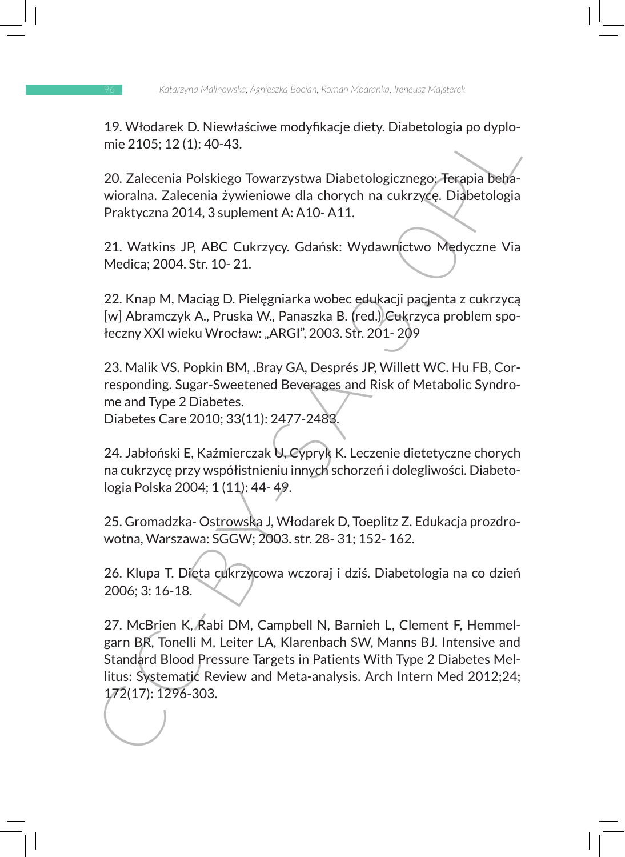19. Włodarek D. Niewłaściwe modyfikacje diety. Diabetologia po dyplomie 2105; 12 (1): 40-43.

20. Zalecenia Polskiego Towarzystwa Diabetologicznego: Terapia behawioralna. Zalecenia żywieniowe dla chorych na cukrzycę. Diabetologia Praktyczna 2014, 3 suplement A: A10- A11.

21. Watkins JP, ABC Cukrzycy. Gdańsk: Wydawnictwo Medyczne Via Medica; 2004. Str. 10- 21.

22. Knap M, Maciąg D. Pielęgniarka wobec edukacji pacjenta z cukrzycą [w] Abramczyk A., Pruska W., Panaszka B. (red.) Cukrzyca problem społeczny XXI wieku Wrocław: "ARGI", 2003. Str. 201- 209

23. Malik VS. Popkin BM, .Bray GA, Després JP, Willett WC. Hu FB, Corresponding. Sugar-Sweetened Beverages and Risk of Metabolic Syndrome and Type 2 Diabetes.

Diabetes Care 2010; 33(11): 2477-2483.

24. Jabłoński E, Kaźmierczak U, Cypryk K. Leczenie dietetyczne chorych na cukrzycę przy współistnieniu innych schorzeń i dolegliwości. Diabetologia Polska 2004; 1 (11): 44- 49.

25. Gromadzka- Ostrowska J, Włodarek D, Toeplitz Z. Edukacja prozdrowotna, Warszawa: SGGW; 2003. str. 28- 31; 152- 162.

26. Klupa T. Dieta cukrzycowa wczoraj i dziś. Diabetologia na co dzień 2006; 3: 16-18.

19. Woodares L. Niewasscwe modynkacje diety. Diabetologia po dyplo-<br>
mic 2105: 12 (1): 40-43.<br>
20. Zalecenia Żywieniowe dla chorych na cukrzyce. Terapia beha-<br>
20. Zalecenia Żywieniowe dla chorych na cukrzyce. Diabetologia 27. McBrien K, Rabi DM, Campbell N, Barnieh L, Clement F, Hemmelgarn BR, Tonelli M, Leiter LA, Klarenbach SW, Manns BJ. Intensive and Standard Blood Pressure Targets in Patients With Type 2 Diabetes Mellitus: Systematic Review and Meta-analysis. Arch Intern Med 2012;24; 172(17): 1296-303.